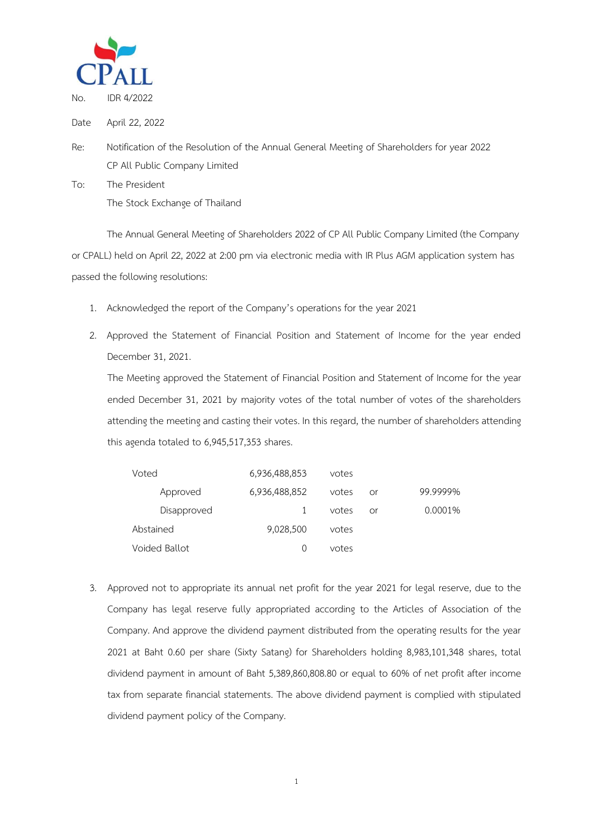

Date April 22, 2022

- Re: Notification of the Resolution of the Annual General Meeting of Shareholders for year 2022 CP All Public Company Limited
- To: The President The Stock Exchange of Thailand

The Annual General Meeting of Shareholders 2022 of CP All Public Company Limited (the Company or CPALL) held on April 22, 2022 at 2:00 pm via electronic media with IR Plus AGM application system has passed the following resolutions:

- 1. Acknowledged the report of the Company's operations for the year 2021
- 2. Approved the Statement of Financial Position and Statement of Income for the year ended December 31, 2021.

The Meeting approved the Statement of Financial Position and Statement of Income for the year ended December 31, 2021 by majority votes of the total number of votes of the shareholders attending the meeting and casting their votes. In this regard, the number of shareholders attending this agenda totaled to 6,945,517,353 shares.

| Voted         | 6,936,488,853 | votes |    |          |
|---------------|---------------|-------|----|----------|
| Approved      | 6,936,488,852 | votes | or | 99.9999% |
| Disapproved   |               | votes | Ωr | 0.0001%  |
| Abstained     | 9,028,500     | votes |    |          |
| Voided Ballot |               | votes |    |          |

3. Approved not to appropriate its annual net profit for the year 2021 for legal reserve, due to the Company has legal reserve fully appropriated according to the Articles of Association of the Company. And approve the dividend payment distributed from the operating results for the year 2021 at Baht 0.60 per share (Sixty Satang) for Shareholders holding 8,983,101,348 shares, total dividend payment in amount of Baht 5,389,860,808.80 or equal to 60% of net profit after income tax from separate financial statements. The above dividend payment is complied with stipulated dividend payment policy of the Company.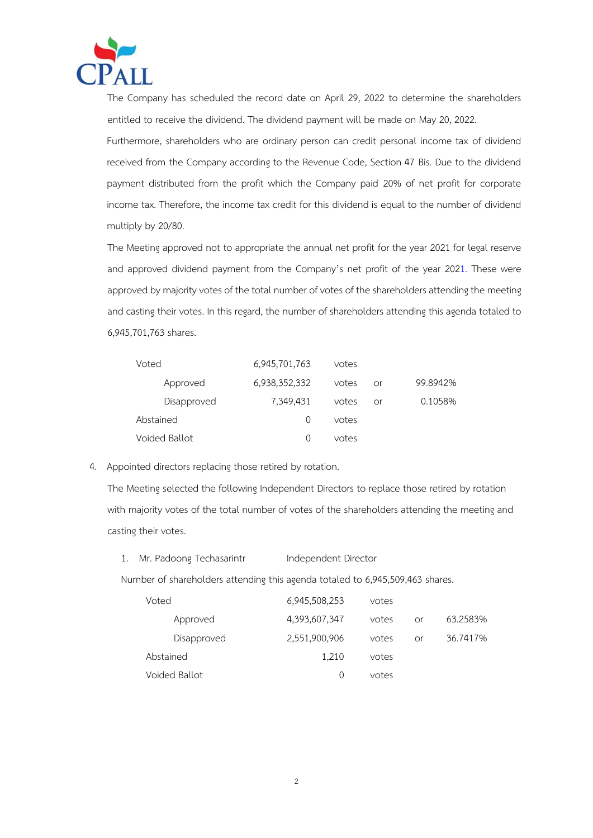

The Company has scheduled the record date on April 29, 2022 to determine the shareholders entitled to receive the dividend. The dividend payment will be made on May 20, 2022.

Furthermore, shareholders who are ordinary person can credit personal income tax of dividend received from the Company according to the Revenue Code, Section 47 Bis. Due to the dividend payment distributed from the profit which the Company paid 20% of net profit for corporate income tax. Therefore, the income tax credit for this dividend is equal to the number of dividend multiply by 20/80.

The Meeting approved not to appropriate the annual net profit for the year 2021 for legal reserve and approved dividend payment from the Company's net profit of the year 2021. These were approved by majority votes of the total number of votes of the shareholders attending the meeting and casting their votes. In this regard, the number of shareholders attending this agenda totaled to 6,945,701,763 shares.

| Voted         | 6,945,701,763    | votes |    |          |
|---------------|------------------|-------|----|----------|
| Approved      | 6,938,352,332    | votes | or | 99.8942% |
| Disapproved   | 7,349,431        | votes | Ωr | 0.1058%  |
| Abstained     | $\left( \right)$ | votes |    |          |
| Voided Ballot | $\left( \right)$ | votes |    |          |

4. Appointed directors replacing those retired by rotation.

The Meeting selected the following Independent Directors to replace those retired by rotation with majority votes of the total number of votes of the shareholders attending the meeting and casting their votes.

1. Mr. Padoong Techasarintr Independent Director

Number of shareholders attending this agenda totaled to 6,945,509,463 shares.

| Voted         | 6,945,508,253 | votes |    |          |
|---------------|---------------|-------|----|----------|
| Approved      | 4,393,607,347 | votes | or | 63.2583% |
| Disapproved   | 2,551,900,906 | votes | or | 36.7417% |
| Abstained     | 1.210         | votes |    |          |
| Voided Ballot |               | votes |    |          |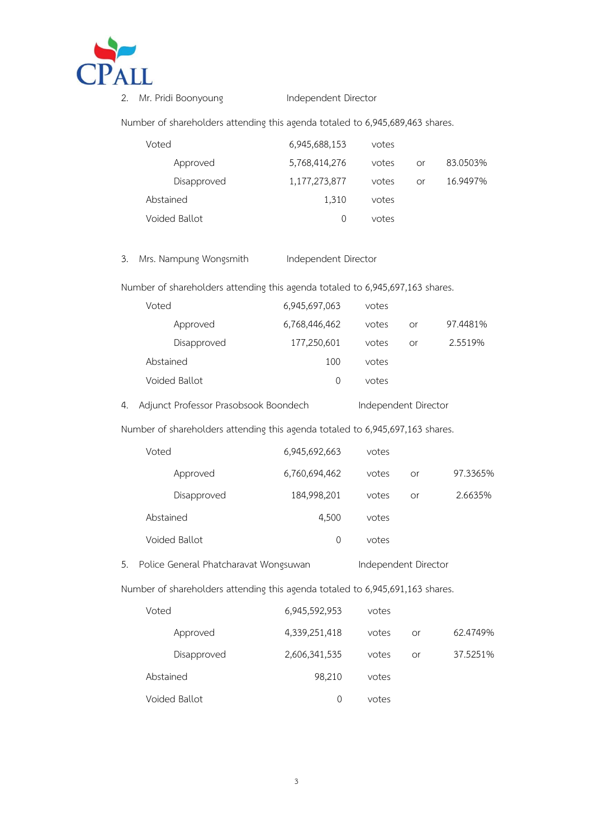

2. Mr. Pridi Boonyoung Independent Director

Number of shareholders attending this agenda totaled to 6,945,689,463 shares.

| Voted         | 6,945,688,153    | votes |    |          |
|---------------|------------------|-------|----|----------|
| Approved      | 5,768,414,276    | votes | or | 83.0503% |
| Disapproved   | 1,177,273,877    | votes | or | 16.9497% |
| Abstained     | 1,310            | votes |    |          |
| Voided Ballot | $\left( \right)$ | votes |    |          |

3. Mrs. Nampung Wongsmith Independent Director

Number of shareholders attending this agenda totaled to 6,945,697,163 shares.

| Voted         | 6,945,697,063    | votes |    |          |
|---------------|------------------|-------|----|----------|
| Approved      | 6,768,446,462    | votes | or | 97.4481% |
| Disapproved   | 177,250,601      | votes | or | 2.5519%  |
| Abstained     | 100              | votes |    |          |
| Voided Ballot | $\left( \right)$ | votes |    |          |
|               |                  |       |    |          |

4. Adjunct Professor Prasobsook Boondech Independent Director

Number of shareholders attending this agenda totaled to 6,945,697,163 shares.

|    | Voted                                 | 6,945,692,663 | votes                |    |          |
|----|---------------------------------------|---------------|----------------------|----|----------|
|    | Approved                              | 6,760,694,462 | votes                | or | 97.3365% |
|    | Disapproved                           | 184,998,201   | votes                | or | 2.6635%  |
|    | Abstained                             | 4,500         | votes                |    |          |
|    | Voided Ballot                         | 0             | votes                |    |          |
| 5. | Police General Phatcharavat Wongsuwan |               | Independent Director |    |          |

Number of shareholders attending this agenda totaled to 6,945,691,163 shares.

| Voted         | 6,945,592,953    | votes |    |          |
|---------------|------------------|-------|----|----------|
| Approved      | 4,339,251,418    | votes | or | 62.4749% |
| Disapproved   | 2,606,341,535    | votes | or | 37.5251% |
| Abstained     | 98,210           | votes |    |          |
| Voided Ballot | $\left( \right)$ | votes |    |          |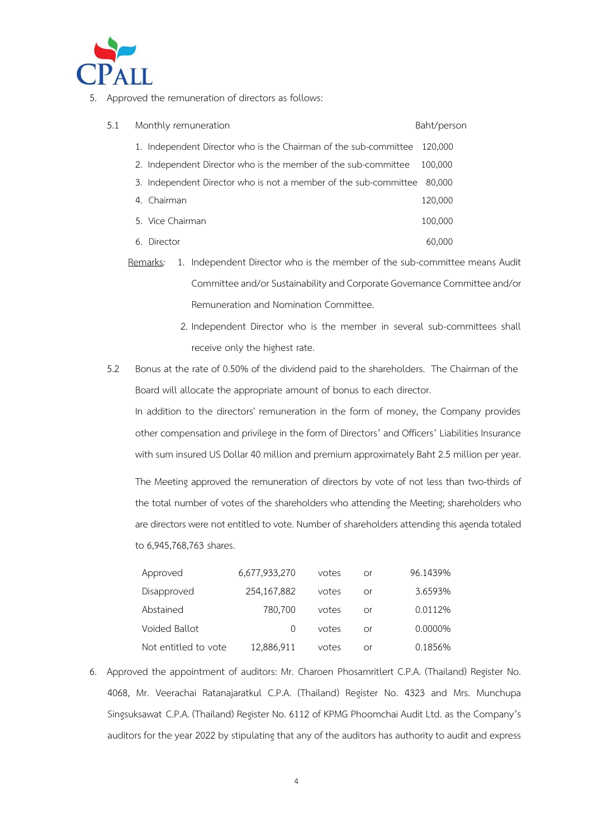

5. Approved the remuneration of directors as follows:

| 5.1 | Monthly remuneration                                                     | Baht/person |
|-----|--------------------------------------------------------------------------|-------------|
|     | 1. Independent Director who is the Chairman of the sub-committee 120,000 |             |
|     | 2. Independent Director who is the member of the sub-committee           | 100,000     |
|     | 3. Independent Director who is not a member of the sub-committee         | 80,000      |
|     | 4. Chairman                                                              | 120,000     |
|     | 5. Vice Chairman                                                         | 100,000     |
|     | Director<br>6.                                                           | 60,000      |

- Remarks*:* 1. Independent Director who is the member of the sub-committee means Audit Committee and/or Sustainability and Corporate Governance Committee and/or Remuneration and Nomination Committee.
	- 2. Independent Director who is the member in several sub-committees shall receive only the highest rate.
- 5.2 Bonus at the rate of 0.50% of the dividend paid to the shareholders. The Chairman of the Board will allocate the appropriate amount of bonus to each director.

In addition to the directors' remuneration in the form of money, the Company provides other compensation and privilege in the form of Directors' and Officers' Liabilities Insurance with sum insured US Dollar 40 million and premium approximately Baht 2.5 million per year.

The Meeting approved the remuneration of directors by vote of not less than two-thirds of the total number of votes of the shareholders who attending the Meeting; shareholders who are directors were not entitled to vote. Number of shareholders attending this agenda totaled to 6,945,768,763 shares.

| Approved             | 6,677,933,270    | votes | or | 96.1439% |
|----------------------|------------------|-------|----|----------|
| Disapproved          | 254,167,882      | votes | Ωr | 3.6593%  |
| Abstained            | 780,700          | votes | Ωr | 0.0112%  |
| Voided Ballot        | $\left( \right)$ | votes | Ωr | 0.0000%  |
| Not entitled to vote | 12,886,911       | votes | Ωr | 0.1856%  |

6. Approved the appointment of auditors: Mr. Charoen Phosamritlert C.P.A. (Thailand) Register No. 4068, Mr. Veerachai Ratanajaratkul C.P.A. (Thailand) Register No. 4323 and Mrs. Munchupa Singsuksawat C.P.A. (Thailand) Register No. 6112 of KPMG Phoomchai Audit Ltd. as the Company's auditors for the year 2022 by stipulating that any of the auditors has authority to audit and express